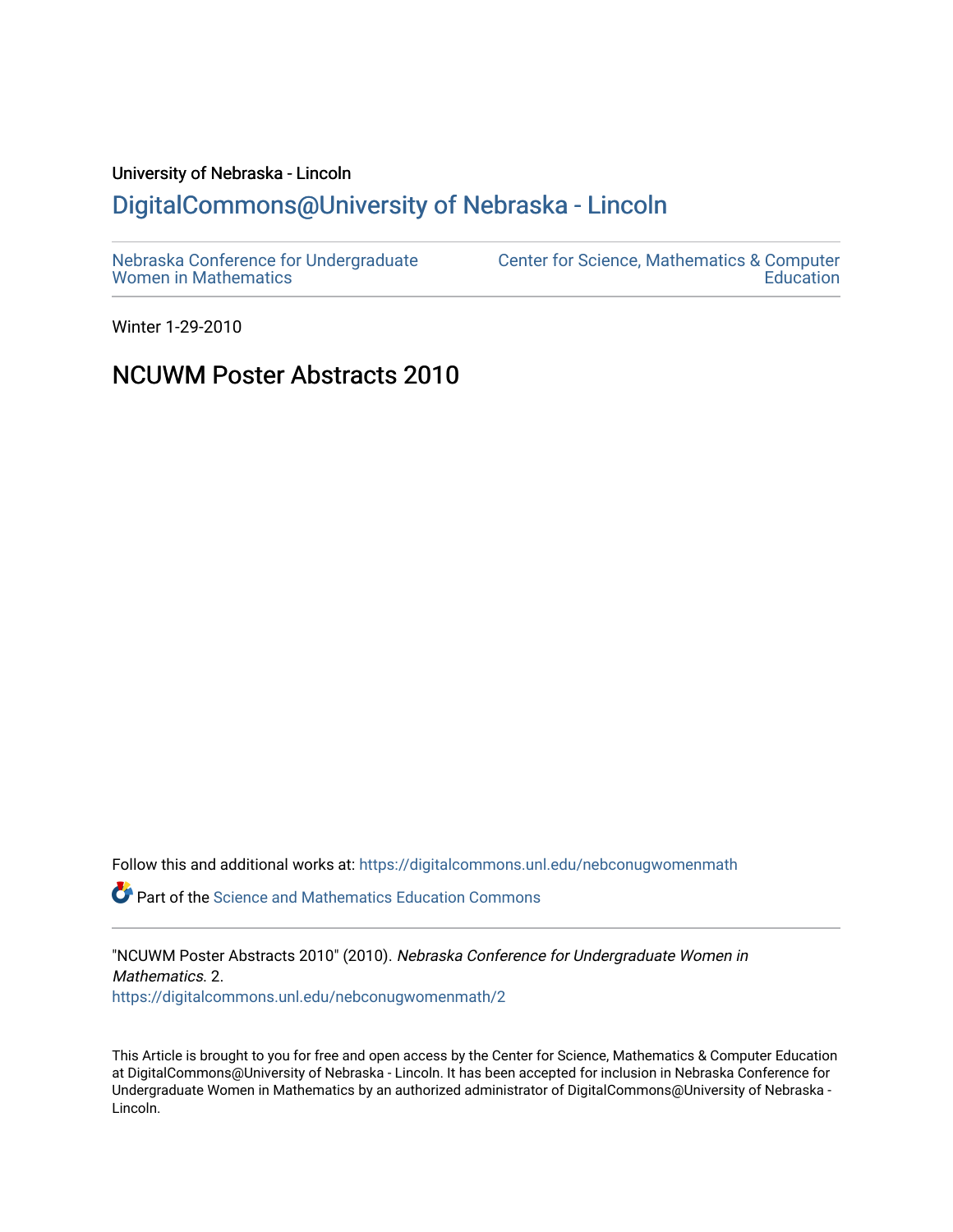# University of Nebraska - Lincoln [DigitalCommons@University of Nebraska - Lincoln](https://digitalcommons.unl.edu/)

| Nebraska Conference for Undergraduate | <b>Center for Science, Mathematics &amp; Computer</b> |
|---------------------------------------|-------------------------------------------------------|
| <b>Women in Mathematics</b>           | <b>Education</b>                                      |

Winter 1-29-2010

# NCUWM Poster Abstracts 2010

Follow this and additional works at: [https://digitalcommons.unl.edu/nebconugwomenmath](https://digitalcommons.unl.edu/nebconugwomenmath?utm_source=digitalcommons.unl.edu%2Fnebconugwomenmath%2F2&utm_medium=PDF&utm_campaign=PDFCoverPages)

**P** Part of the Science and Mathematics Education Commons

"NCUWM Poster Abstracts 2010" (2010). Nebraska Conference for Undergraduate Women in Mathematics. 2. [https://digitalcommons.unl.edu/nebconugwomenmath/2](https://digitalcommons.unl.edu/nebconugwomenmath/2?utm_source=digitalcommons.unl.edu%2Fnebconugwomenmath%2F2&utm_medium=PDF&utm_campaign=PDFCoverPages)

This Article is brought to you for free and open access by the Center for Science, Mathematics & Computer Education at DigitalCommons@University of Nebraska - Lincoln. It has been accepted for inclusion in Nebraska Conference for Undergraduate Women in Mathematics by an authorized administrator of DigitalCommons@University of Nebraska - Lincoln.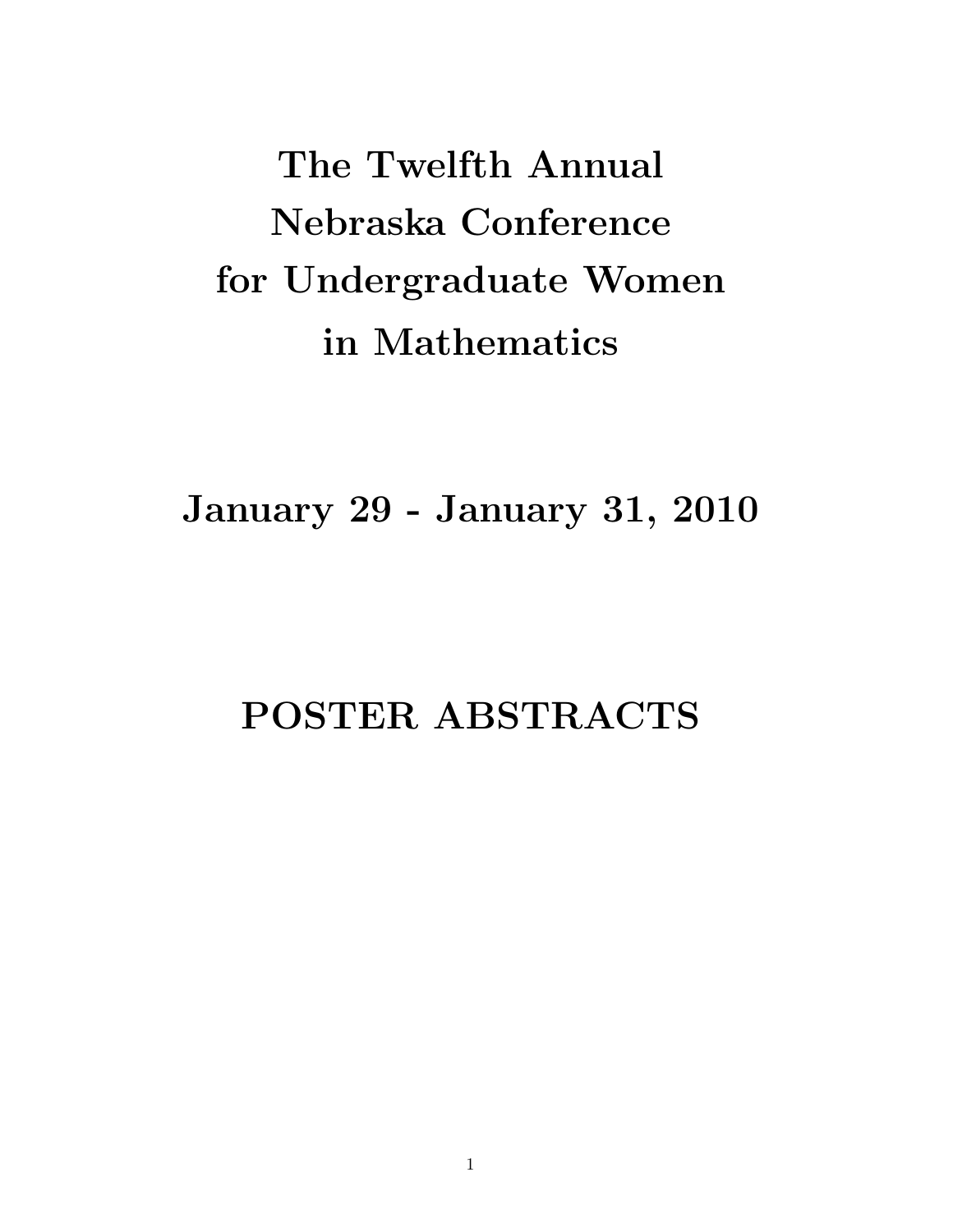The Twelfth Annual Nebraska Conference for Undergraduate Women in Mathematics

January 29 - January 31, 2010

# POSTER ABSTRACTS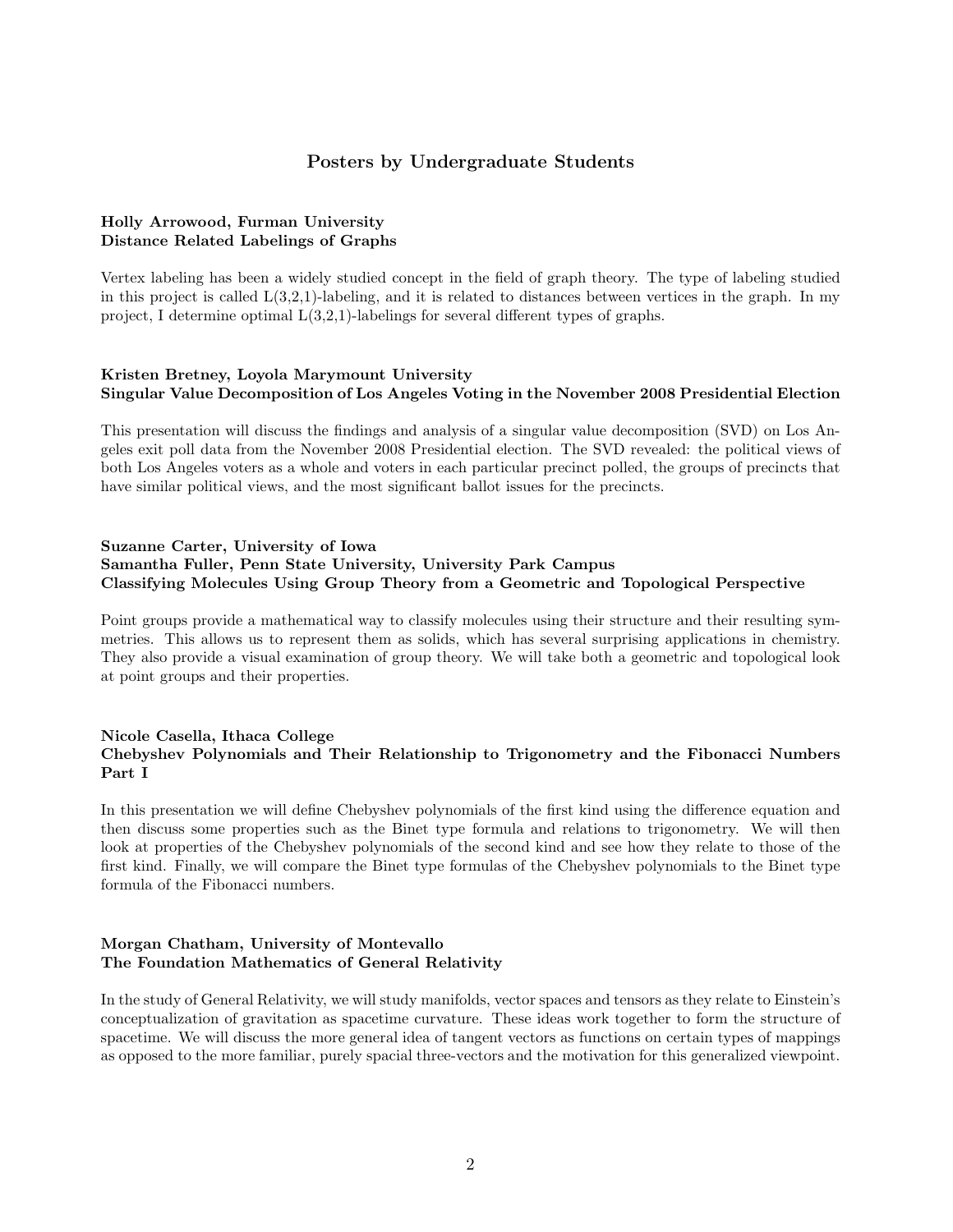# Posters by Undergraduate Students

#### Holly Arrowood, Furman University Distance Related Labelings of Graphs

Vertex labeling has been a widely studied concept in the field of graph theory. The type of labeling studied in this project is called  $L(3,2,1)$ -labeling, and it is related to distances between vertices in the graph. In my project, I determine optimal  $L(3,2,1)$ -labelings for several different types of graphs.

# Kristen Bretney, Loyola Marymount University Singular Value Decomposition of Los Angeles Voting in the November 2008 Presidential Election

This presentation will discuss the findings and analysis of a singular value decomposition (SVD) on Los Angeles exit poll data from the November 2008 Presidential election. The SVD revealed: the political views of both Los Angeles voters as a whole and voters in each particular precinct polled, the groups of precincts that have similar political views, and the most significant ballot issues for the precincts.

# Suzanne Carter, University of Iowa Samantha Fuller, Penn State University, University Park Campus Classifying Molecules Using Group Theory from a Geometric and Topological Perspective

Point groups provide a mathematical way to classify molecules using their structure and their resulting symmetries. This allows us to represent them as solids, which has several surprising applications in chemistry. They also provide a visual examination of group theory. We will take both a geometric and topological look at point groups and their properties.

#### Nicole Casella, Ithaca College Chebyshev Polynomials and Their Relationship to Trigonometry and the Fibonacci Numbers Part I

In this presentation we will define Chebyshev polynomials of the first kind using the difference equation and then discuss some properties such as the Binet type formula and relations to trigonometry. We will then look at properties of the Chebyshev polynomials of the second kind and see how they relate to those of the first kind. Finally, we will compare the Binet type formulas of the Chebyshev polynomials to the Binet type formula of the Fibonacci numbers.

# Morgan Chatham, University of Montevallo The Foundation Mathematics of General Relativity

In the study of General Relativity, we will study manifolds, vector spaces and tensors as they relate to Einstein's conceptualization of gravitation as spacetime curvature. These ideas work together to form the structure of spacetime. We will discuss the more general idea of tangent vectors as functions on certain types of mappings as opposed to the more familiar, purely spacial three-vectors and the motivation for this generalized viewpoint.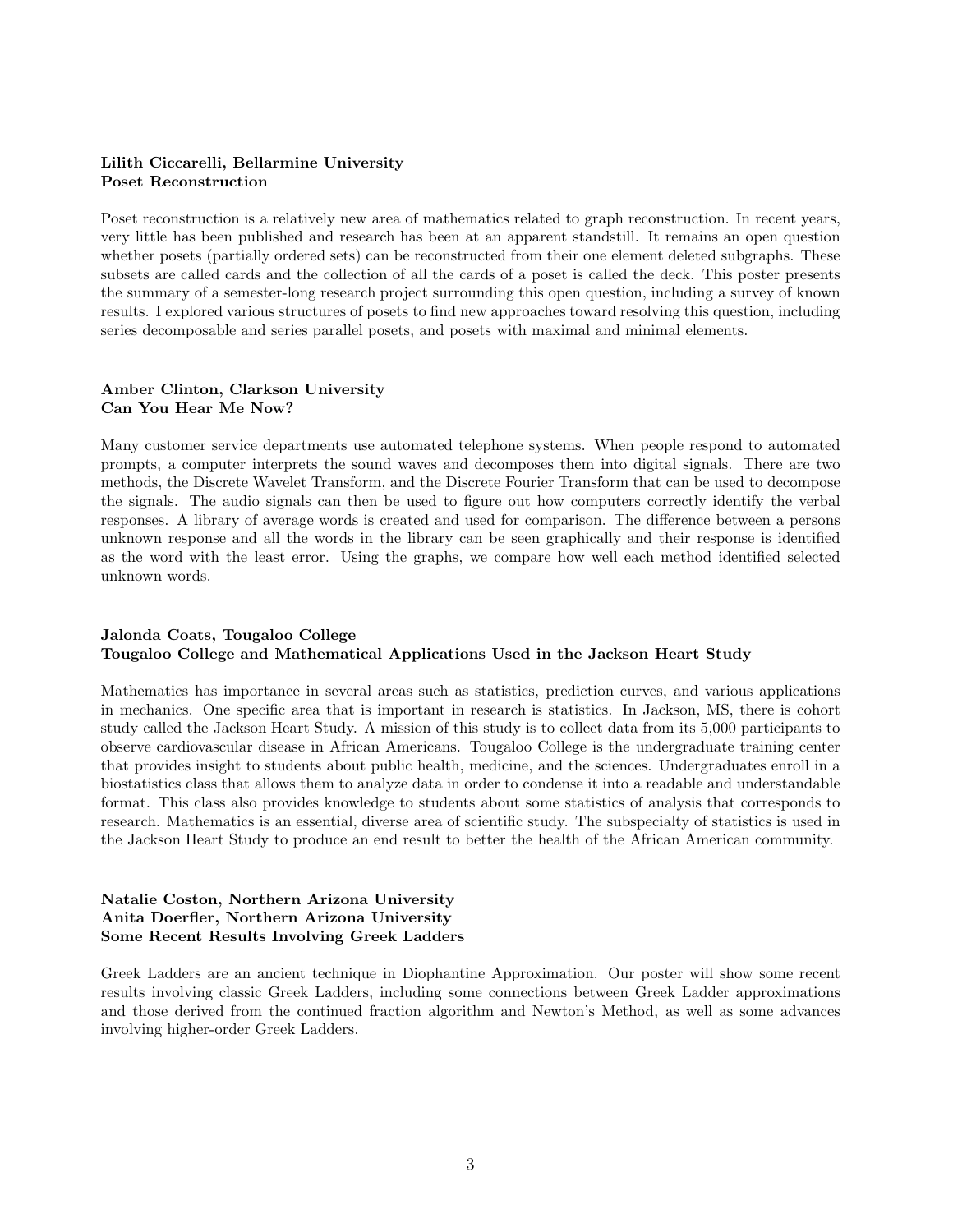# Lilith Ciccarelli, Bellarmine University Poset Reconstruction

Poset reconstruction is a relatively new area of mathematics related to graph reconstruction. In recent years, very little has been published and research has been at an apparent standstill. It remains an open question whether posets (partially ordered sets) can be reconstructed from their one element deleted subgraphs. These subsets are called cards and the collection of all the cards of a poset is called the deck. This poster presents the summary of a semester-long research project surrounding this open question, including a survey of known results. I explored various structures of posets to find new approaches toward resolving this question, including series decomposable and series parallel posets, and posets with maximal and minimal elements.

# Amber Clinton, Clarkson University Can You Hear Me Now?

Many customer service departments use automated telephone systems. When people respond to automated prompts, a computer interprets the sound waves and decomposes them into digital signals. There are two methods, the Discrete Wavelet Transform, and the Discrete Fourier Transform that can be used to decompose the signals. The audio signals can then be used to figure out how computers correctly identify the verbal responses. A library of average words is created and used for comparison. The difference between a persons unknown response and all the words in the library can be seen graphically and their response is identified as the word with the least error. Using the graphs, we compare how well each method identified selected unknown words.

# Jalonda Coats, Tougaloo College Tougaloo College and Mathematical Applications Used in the Jackson Heart Study

Mathematics has importance in several areas such as statistics, prediction curves, and various applications in mechanics. One specific area that is important in research is statistics. In Jackson, MS, there is cohort study called the Jackson Heart Study. A mission of this study is to collect data from its 5,000 participants to observe cardiovascular disease in African Americans. Tougaloo College is the undergraduate training center that provides insight to students about public health, medicine, and the sciences. Undergraduates enroll in a biostatistics class that allows them to analyze data in order to condense it into a readable and understandable format. This class also provides knowledge to students about some statistics of analysis that corresponds to research. Mathematics is an essential, diverse area of scientific study. The subspecialty of statistics is used in the Jackson Heart Study to produce an end result to better the health of the African American community.

# Natalie Coston, Northern Arizona University Anita Doerfler, Northern Arizona University Some Recent Results Involving Greek Ladders

Greek Ladders are an ancient technique in Diophantine Approximation. Our poster will show some recent results involving classic Greek Ladders, including some connections between Greek Ladder approximations and those derived from the continued fraction algorithm and Newton's Method, as well as some advances involving higher-order Greek Ladders.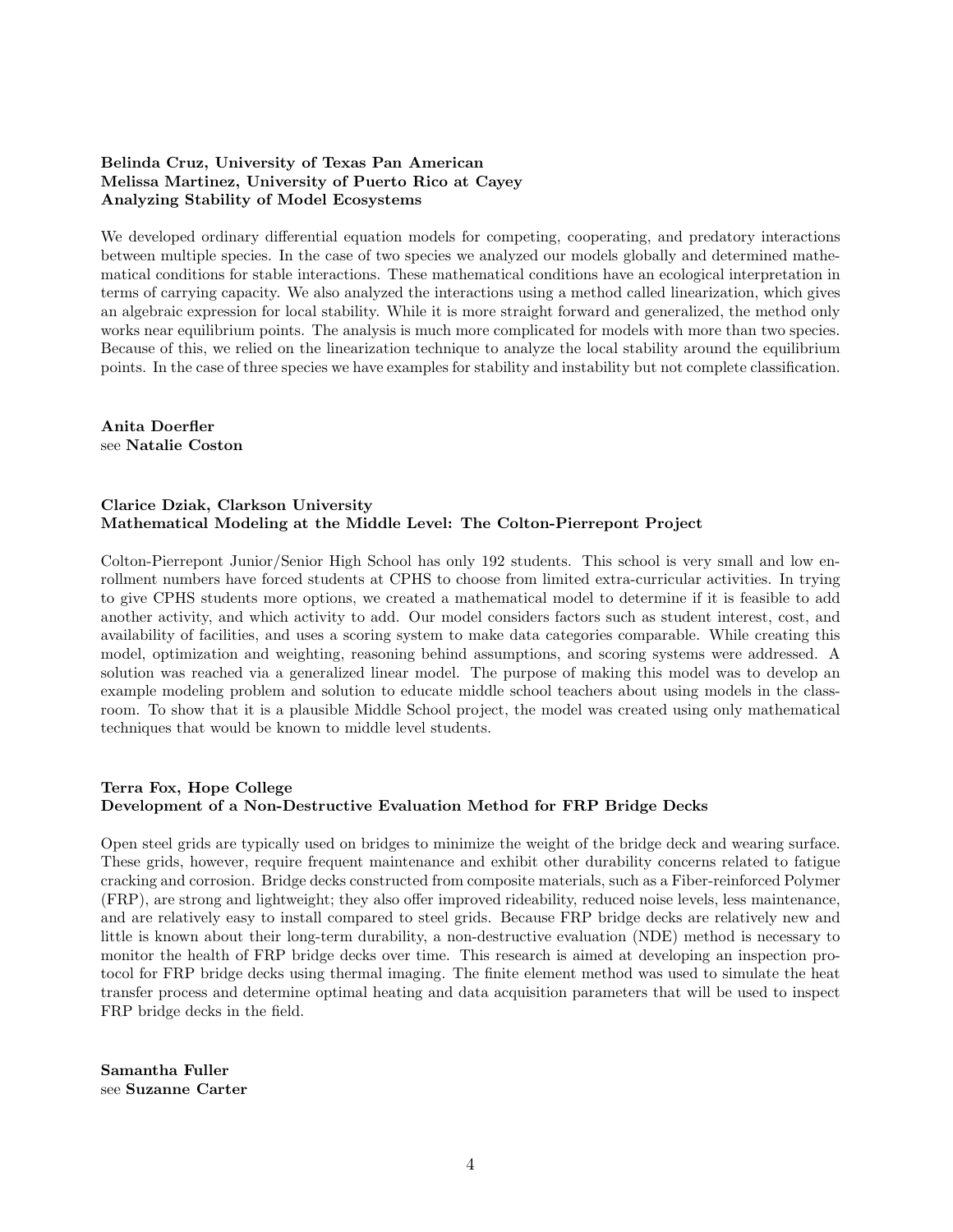# Belinda Cruz, University of Texas Pan American Melissa Martinez, University of Puerto Rico at Cayey Analyzing Stability of Model Ecosystems

We developed ordinary differential equation models for competing, cooperating, and predatory interactions between multiple species. In the case of two species we analyzed our models globally and determined mathematical conditions for stable interactions. These mathematical conditions have an ecological interpretation in terms of carrying capacity. We also analyzed the interactions using a method called linearization, which gives an algebraic expression for local stability. While it is more straight forward and generalized, the method only works near equilibrium points. The analysis is much more complicated for models with more than two species. Because of this, we relied on the linearization technique to analyze the local stability around the equilibrium points. In the case of three species we have examples for stability and instability but not complete classification.

Anita Doerfler see Natalie Coston

# Clarice Dziak, Clarkson University Mathematical Modeling at the Middle Level: The Colton-Pierrepont Project

Colton-Pierrepont Junior/Senior High School has only 192 students. This school is very small and low enrollment numbers have forced students at CPHS to choose from limited extra-curricular activities. In trying to give CPHS students more options, we created a mathematical model to determine if it is feasible to add another activity, and which activity to add. Our model considers factors such as student interest, cost, and availability of facilities, and uses a scoring system to make data categories comparable. While creating this model, optimization and weighting, reasoning behind assumptions, and scoring systems were addressed. A solution was reached via a generalized linear model. The purpose of making this model was to develop an example modeling problem and solution to educate middle school teachers about using models in the classroom. To show that it is a plausible Middle School project, the model was created using only mathematical techniques that would be known to middle level students.

# Terra Fox, Hope College Development of a Non-Destructive Evaluation Method for FRP Bridge Decks

Open steel grids are typically used on bridges to minimize the weight of the bridge deck and wearing surface. These grids, however, require frequent maintenance and exhibit other durability concerns related to fatigue cracking and corrosion. Bridge decks constructed from composite materials, such as a Fiber-reinforced Polymer (FRP), are strong and lightweight; they also offer improved rideability, reduced noise levels, less maintenance, and are relatively easy to install compared to steel grids. Because FRP bridge decks are relatively new and little is known about their long-term durability, a non-destructive evaluation (NDE) method is necessary to monitor the health of FRP bridge decks over time. This research is aimed at developing an inspection protocol for FRP bridge decks using thermal imaging. The finite element method was used to simulate the heat transfer process and determine optimal heating and data acquisition parameters that will be used to inspect FRP bridge decks in the field.

Samantha Fuller see Suzanne Carter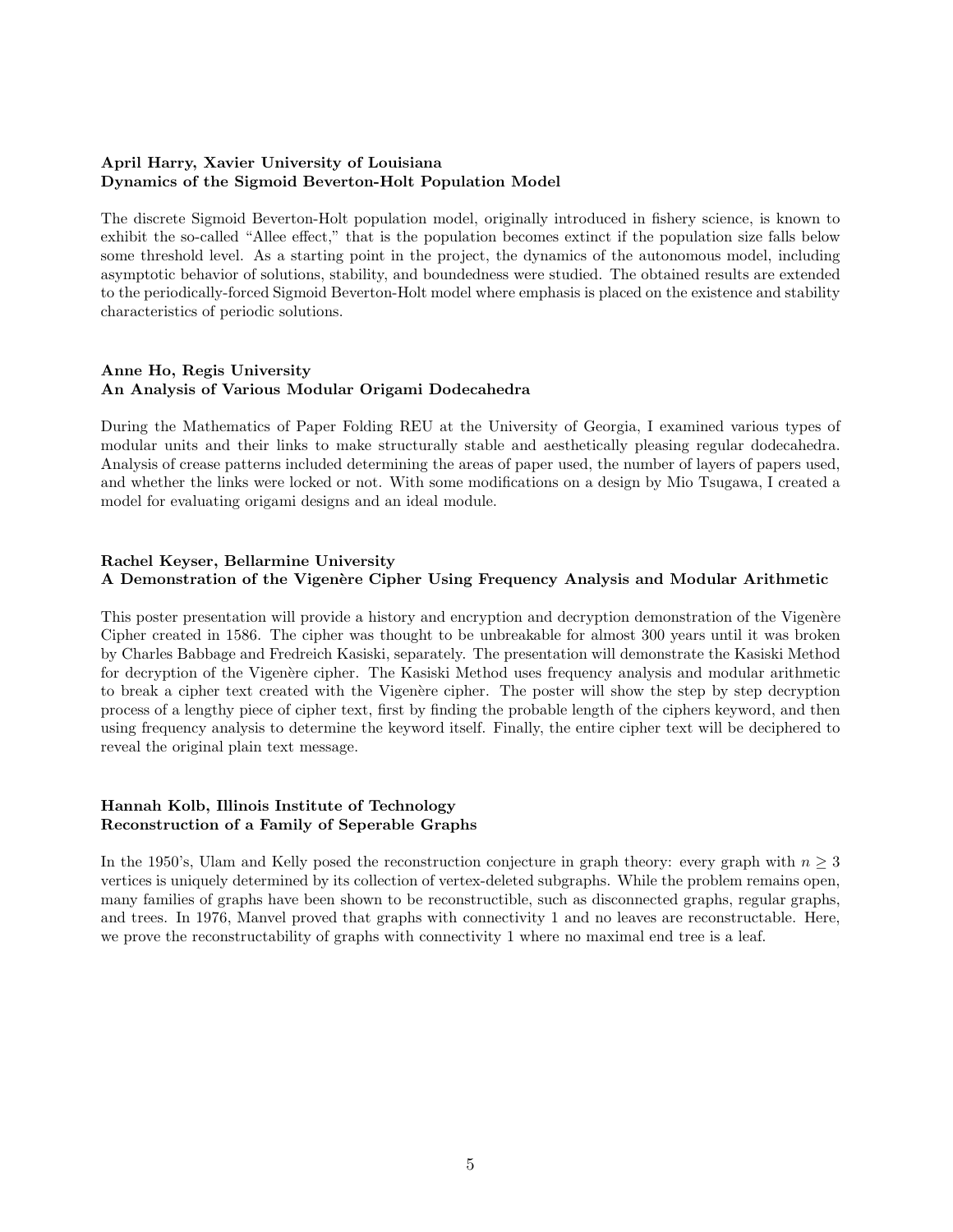# April Harry, Xavier University of Louisiana Dynamics of the Sigmoid Beverton-Holt Population Model

The discrete Sigmoid Beverton-Holt population model, originally introduced in fishery science, is known to exhibit the so-called "Allee effect," that is the population becomes extinct if the population size falls below some threshold level. As a starting point in the project, the dynamics of the autonomous model, including asymptotic behavior of solutions, stability, and boundedness were studied. The obtained results are extended to the periodically-forced Sigmoid Beverton-Holt model where emphasis is placed on the existence and stability characteristics of periodic solutions.

# Anne Ho, Regis University An Analysis of Various Modular Origami Dodecahedra

During the Mathematics of Paper Folding REU at the University of Georgia, I examined various types of modular units and their links to make structurally stable and aesthetically pleasing regular dodecahedra. Analysis of crease patterns included determining the areas of paper used, the number of layers of papers used, and whether the links were locked or not. With some modifications on a design by Mio Tsugawa, I created a model for evaluating origami designs and an ideal module.

# Rachel Keyser, Bellarmine University A Demonstration of the Vigenère Cipher Using Frequency Analysis and Modular Arithmetic

This poster presentation will provide a history and encryption and decryption demonstration of the Vigenère Cipher created in 1586. The cipher was thought to be unbreakable for almost 300 years until it was broken by Charles Babbage and Fredreich Kasiski, separately. The presentation will demonstrate the Kasiski Method for decryption of the Vigenère cipher. The Kasiski Method uses frequency analysis and modular arithmetic to break a cipher text created with the Vigenère cipher. The poster will show the step by step decryption process of a lengthy piece of cipher text, first by finding the probable length of the ciphers keyword, and then using frequency analysis to determine the keyword itself. Finally, the entire cipher text will be deciphered to reveal the original plain text message.

# Hannah Kolb, Illinois Institute of Technology Reconstruction of a Family of Seperable Graphs

In the 1950's, Ulam and Kelly posed the reconstruction conjecture in graph theory: every graph with  $n \geq 3$ vertices is uniquely determined by its collection of vertex-deleted subgraphs. While the problem remains open, many families of graphs have been shown to be reconstructible, such as disconnected graphs, regular graphs, and trees. In 1976, Manvel proved that graphs with connectivity 1 and no leaves are reconstructable. Here, we prove the reconstructability of graphs with connectivity 1 where no maximal end tree is a leaf.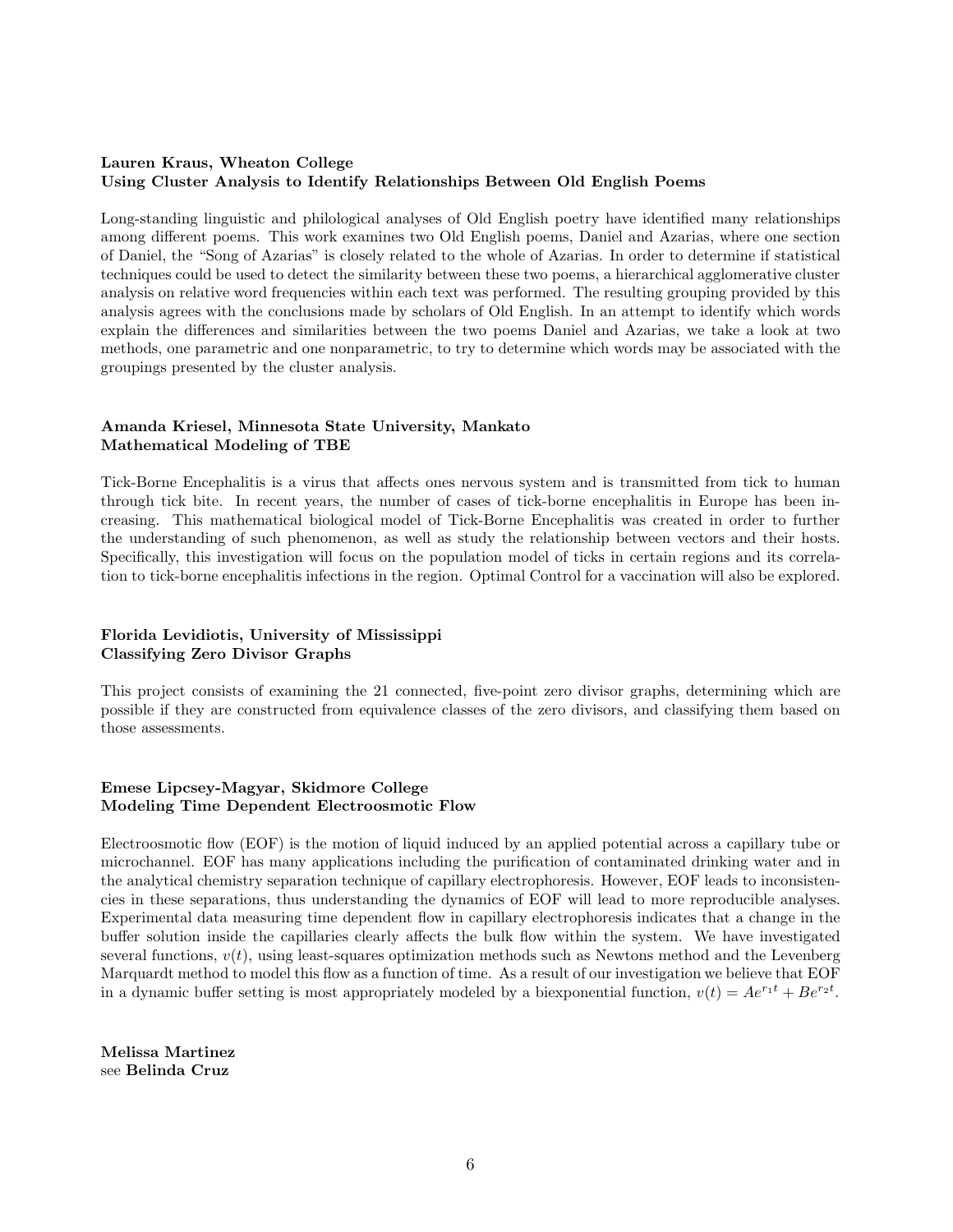# Lauren Kraus, Wheaton College Using Cluster Analysis to Identify Relationships Between Old English Poems

Long-standing linguistic and philological analyses of Old English poetry have identified many relationships among different poems. This work examines two Old English poems, Daniel and Azarias, where one section of Daniel, the "Song of Azarias" is closely related to the whole of Azarias. In order to determine if statistical techniques could be used to detect the similarity between these two poems, a hierarchical agglomerative cluster analysis on relative word frequencies within each text was performed. The resulting grouping provided by this analysis agrees with the conclusions made by scholars of Old English. In an attempt to identify which words explain the differences and similarities between the two poems Daniel and Azarias, we take a look at two methods, one parametric and one nonparametric, to try to determine which words may be associated with the groupings presented by the cluster analysis.

# Amanda Kriesel, Minnesota State University, Mankato Mathematical Modeling of TBE

Tick-Borne Encephalitis is a virus that affects ones nervous system and is transmitted from tick to human through tick bite. In recent years, the number of cases of tick-borne encephalitis in Europe has been increasing. This mathematical biological model of Tick-Borne Encephalitis was created in order to further the understanding of such phenomenon, as well as study the relationship between vectors and their hosts. Specifically, this investigation will focus on the population model of ticks in certain regions and its correlation to tick-borne encephalitis infections in the region. Optimal Control for a vaccination will also be explored.

# Florida Levidiotis, University of Mississippi Classifying Zero Divisor Graphs

This project consists of examining the 21 connected, five-point zero divisor graphs, determining which are possible if they are constructed from equivalence classes of the zero divisors, and classifying them based on those assessments.

# Emese Lipcsey-Magyar, Skidmore College Modeling Time Dependent Electroosmotic Flow

Electroosmotic flow (EOF) is the motion of liquid induced by an applied potential across a capillary tube or microchannel. EOF has many applications including the purification of contaminated drinking water and in the analytical chemistry separation technique of capillary electrophoresis. However, EOF leads to inconsistencies in these separations, thus understanding the dynamics of EOF will lead to more reproducible analyses. Experimental data measuring time dependent flow in capillary electrophoresis indicates that a change in the buffer solution inside the capillaries clearly affects the bulk flow within the system. We have investigated several functions,  $v(t)$ , using least-squares optimization methods such as Newtons method and the Levenberg Marquardt method to model this flow as a function of time. As a result of our investigation we believe that EOF in a dynamic buffer setting is most appropriately modeled by a biexponential function,  $v(t) = Ae^{r_1 t} + Be^{r_2 t}$ .

Melissa Martinez see Belinda Cruz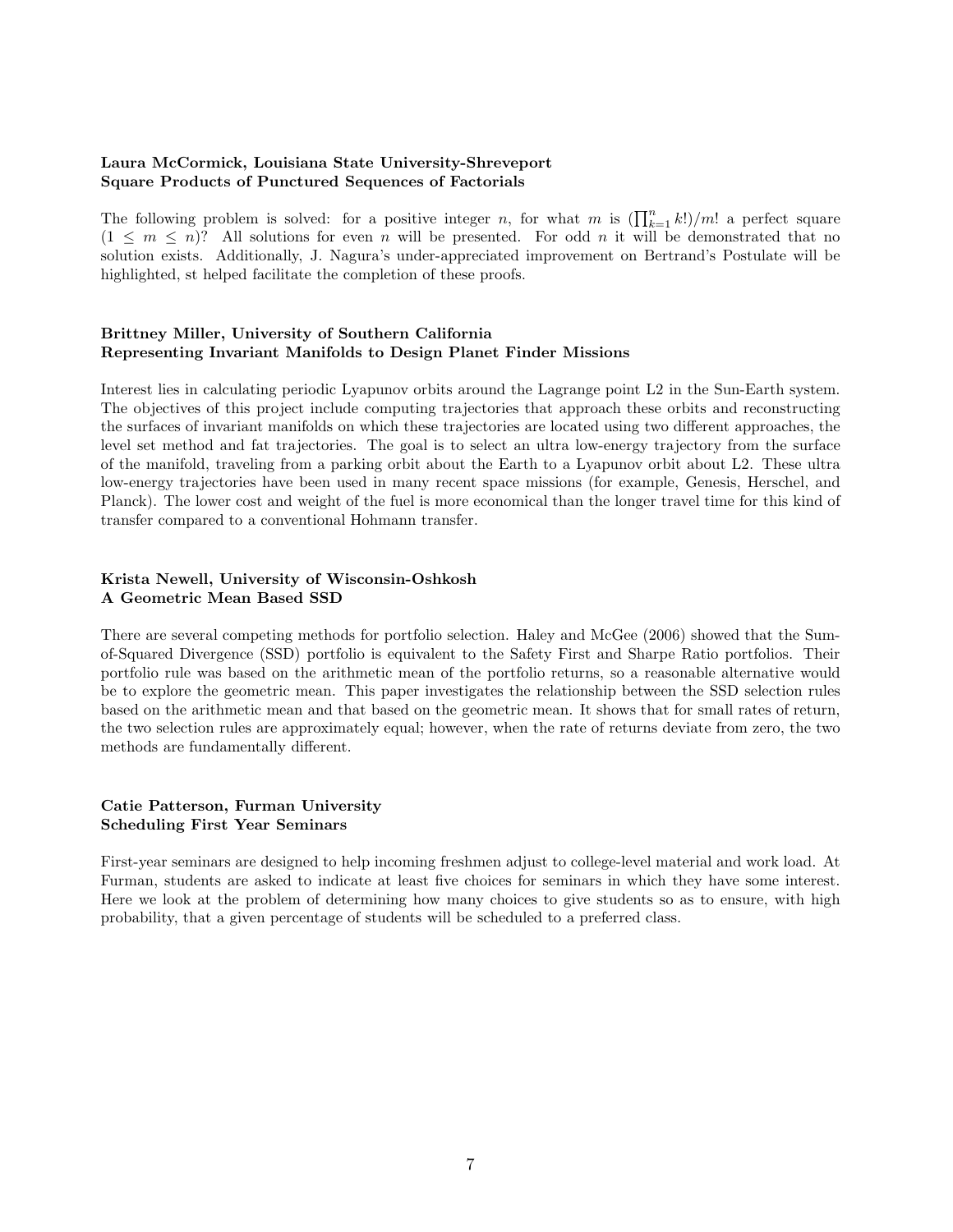# Laura McCormick, Louisiana State University-Shreveport Square Products of Punctured Sequences of Factorials

The following problem is solved: for a positive integer *n*, for what *m* is  $(\prod_{k=1}^n k!)/m!$  a perfect square  $(1 \leq m \leq n)$ ? All solutions for even *n* will be presented. For odd *n* it will be demonstrated that no solution exists. Additionally, J. Nagura's under-appreciated improvement on Bertrand's Postulate will be highlighted, st helped facilitate the completion of these proofs.

#### Brittney Miller, University of Southern California Representing Invariant Manifolds to Design Planet Finder Missions

Interest lies in calculating periodic Lyapunov orbits around the Lagrange point L2 in the Sun-Earth system. The objectives of this project include computing trajectories that approach these orbits and reconstructing the surfaces of invariant manifolds on which these trajectories are located using two different approaches, the level set method and fat trajectories. The goal is to select an ultra low-energy trajectory from the surface of the manifold, traveling from a parking orbit about the Earth to a Lyapunov orbit about L2. These ultra low-energy trajectories have been used in many recent space missions (for example, Genesis, Herschel, and Planck). The lower cost and weight of the fuel is more economical than the longer travel time for this kind of transfer compared to a conventional Hohmann transfer.

# Krista Newell, University of Wisconsin-Oshkosh A Geometric Mean Based SSD

There are several competing methods for portfolio selection. Haley and McGee (2006) showed that the Sumof-Squared Divergence (SSD) portfolio is equivalent to the Safety First and Sharpe Ratio portfolios. Their portfolio rule was based on the arithmetic mean of the portfolio returns, so a reasonable alternative would be to explore the geometric mean. This paper investigates the relationship between the SSD selection rules based on the arithmetic mean and that based on the geometric mean. It shows that for small rates of return, the two selection rules are approximately equal; however, when the rate of returns deviate from zero, the two methods are fundamentally different.

# Catie Patterson, Furman University Scheduling First Year Seminars

First-year seminars are designed to help incoming freshmen adjust to college-level material and work load. At Furman, students are asked to indicate at least five choices for seminars in which they have some interest. Here we look at the problem of determining how many choices to give students so as to ensure, with high probability, that a given percentage of students will be scheduled to a preferred class.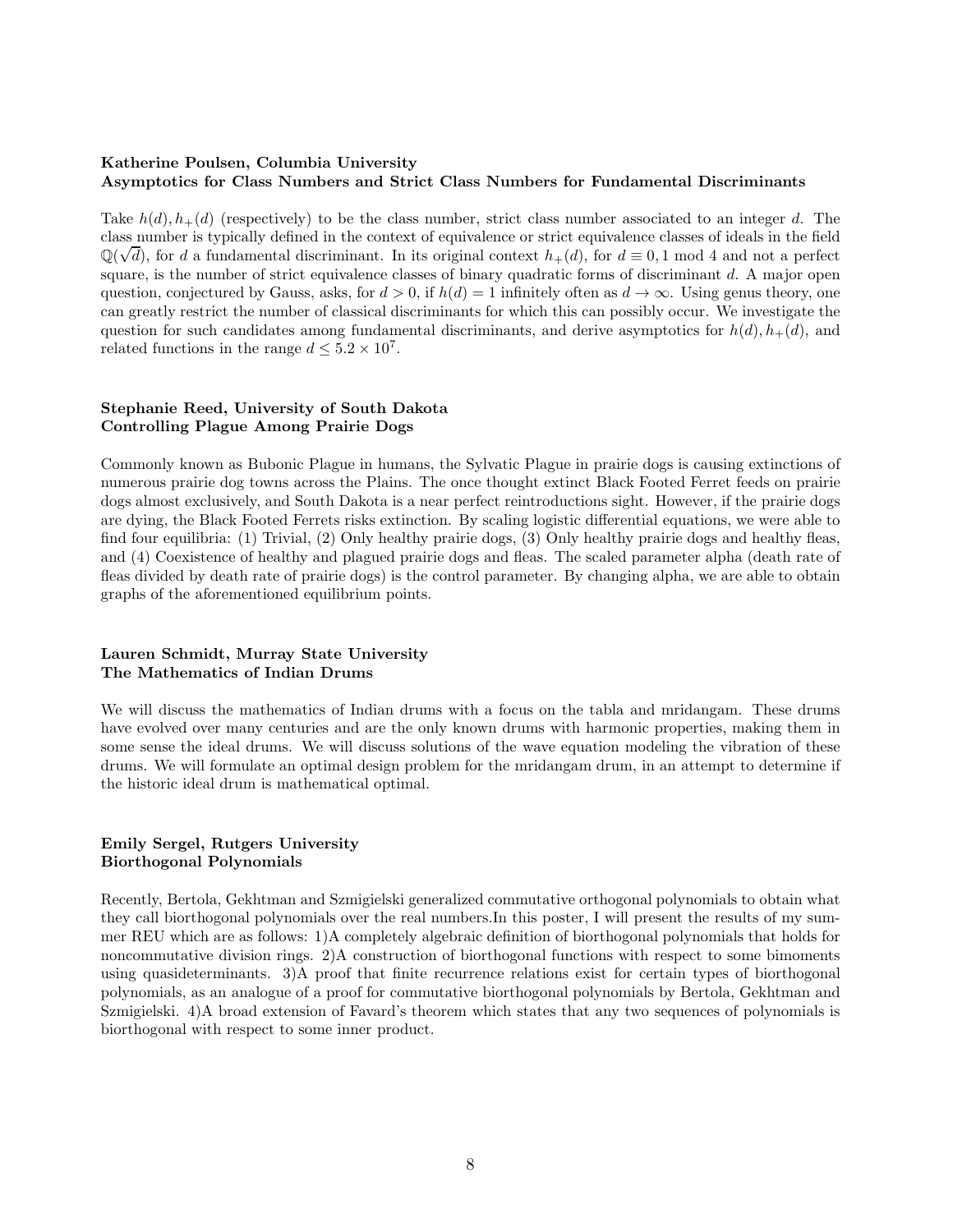# Katherine Poulsen, Columbia University Asymptotics for Class Numbers and Strict Class Numbers for Fundamental Discriminants

Take  $h(d)$ ,  $h_{+}(d)$  (respectively) to be the class number, strict class number associated to an integer d. The class number is typically defined in the context of equivalence or strict equivalence classes of ideals in the field  $\mathbb{Q}(\sqrt{d})$ , for d a fundamental discriminant. In its original context  $h_+(d)$ , for  $d \equiv 0, 1 \mod 4$  and not a perfect square, is the number of strict equivalence classes of binary quadratic forms of discriminant  $d$ . A major open question, conjectured by Gauss, asks, for  $d > 0$ , if  $h(d) = 1$  infinitely often as  $d \to \infty$ . Using genus theory, one can greatly restrict the number of classical discriminants for which this can possibly occur. We investigate the question for such candidates among fundamental discriminants, and derive asymptotics for  $h(d)$ ,  $h_{+}(d)$ , and related functions in the range  $d \leq 5.2 \times 10^7$ .

# Stephanie Reed, University of South Dakota Controlling Plague Among Prairie Dogs

Commonly known as Bubonic Plague in humans, the Sylvatic Plague in prairie dogs is causing extinctions of numerous prairie dog towns across the Plains. The once thought extinct Black Footed Ferret feeds on prairie dogs almost exclusively, and South Dakota is a near perfect reintroductions sight. However, if the prairie dogs are dying, the Black Footed Ferrets risks extinction. By scaling logistic differential equations, we were able to find four equilibria: (1) Trivial, (2) Only healthy prairie dogs, (3) Only healthy prairie dogs and healthy fleas, and (4) Coexistence of healthy and plagued prairie dogs and fleas. The scaled parameter alpha (death rate of fleas divided by death rate of prairie dogs) is the control parameter. By changing alpha, we are able to obtain graphs of the aforementioned equilibrium points.

# Lauren Schmidt, Murray State University The Mathematics of Indian Drums

We will discuss the mathematics of Indian drums with a focus on the tabla and mridangam. These drums have evolved over many centuries and are the only known drums with harmonic properties, making them in some sense the ideal drums. We will discuss solutions of the wave equation modeling the vibration of these drums. We will formulate an optimal design problem for the mridangam drum, in an attempt to determine if the historic ideal drum is mathematical optimal.

# Emily Sergel, Rutgers University Biorthogonal Polynomials

Recently, Bertola, Gekhtman and Szmigielski generalized commutative orthogonal polynomials to obtain what they call biorthogonal polynomials over the real numbers.In this poster, I will present the results of my summer REU which are as follows: 1)A completely algebraic definition of biorthogonal polynomials that holds for noncommutative division rings. 2)A construction of biorthogonal functions with respect to some bimoments using quasideterminants. 3)A proof that finite recurrence relations exist for certain types of biorthogonal polynomials, as an analogue of a proof for commutative biorthogonal polynomials by Bertola, Gekhtman and Szmigielski. 4)A broad extension of Favard's theorem which states that any two sequences of polynomials is biorthogonal with respect to some inner product.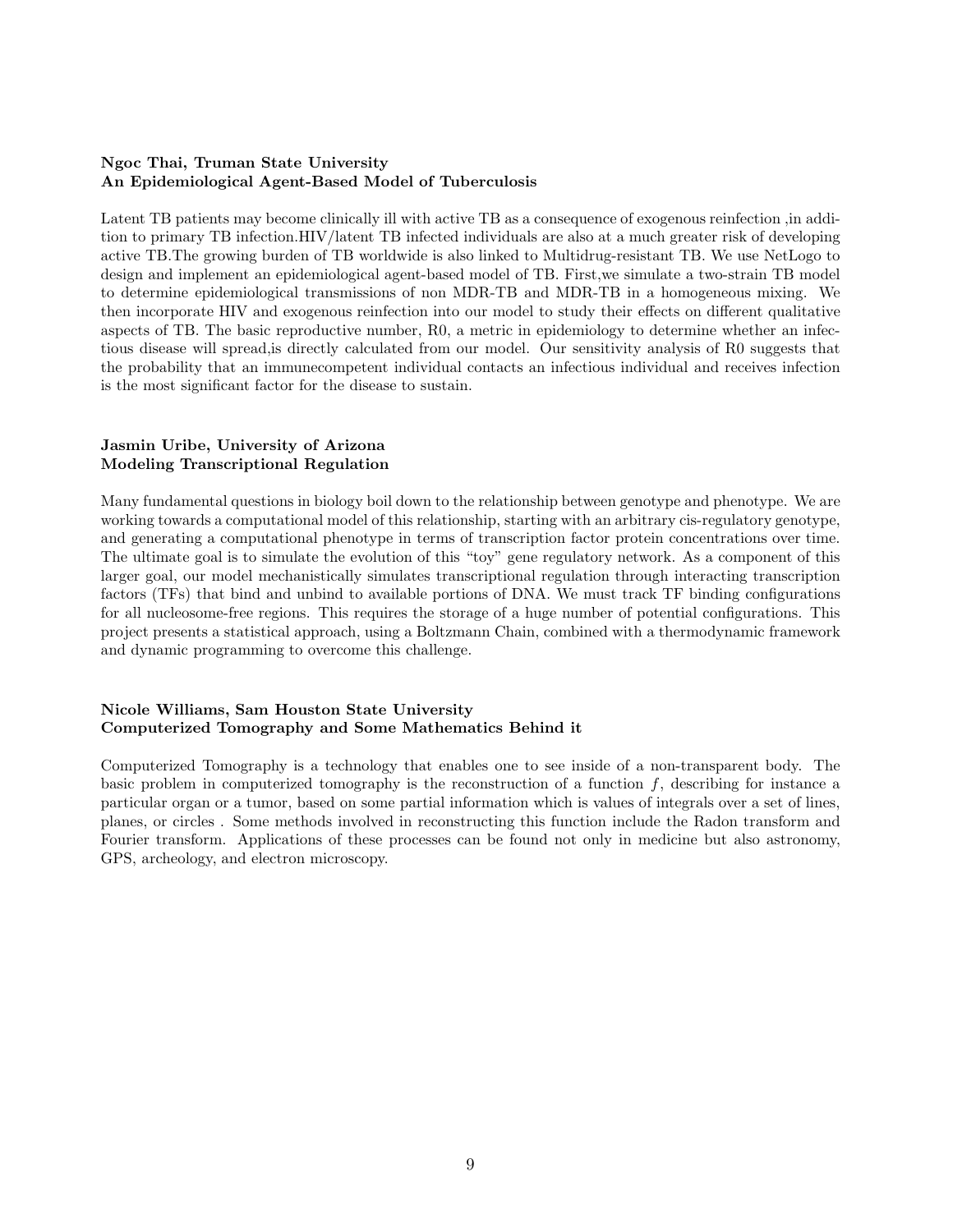# Ngoc Thai, Truman State University An Epidemiological Agent-Based Model of Tuberculosis

Latent TB patients may become clinically ill with active TB as a consequence of exogenous reinfection ,in addition to primary TB infection.HIV/latent TB infected individuals are also at a much greater risk of developing active TB.The growing burden of TB worldwide is also linked to Multidrug-resistant TB. We use NetLogo to design and implement an epidemiological agent-based model of TB. First,we simulate a two-strain TB model to determine epidemiological transmissions of non MDR-TB and MDR-TB in a homogeneous mixing. We then incorporate HIV and exogenous reinfection into our model to study their effects on different qualitative aspects of TB. The basic reproductive number, R0, a metric in epidemiology to determine whether an infectious disease will spread,is directly calculated from our model. Our sensitivity analysis of R0 suggests that the probability that an immunecompetent individual contacts an infectious individual and receives infection is the most significant factor for the disease to sustain.

# Jasmin Uribe, University of Arizona Modeling Transcriptional Regulation

Many fundamental questions in biology boil down to the relationship between genotype and phenotype. We are working towards a computational model of this relationship, starting with an arbitrary cis-regulatory genotype, and generating a computational phenotype in terms of transcription factor protein concentrations over time. The ultimate goal is to simulate the evolution of this "toy" gene regulatory network. As a component of this larger goal, our model mechanistically simulates transcriptional regulation through interacting transcription factors (TFs) that bind and unbind to available portions of DNA. We must track TF binding configurations for all nucleosome-free regions. This requires the storage of a huge number of potential configurations. This project presents a statistical approach, using a Boltzmann Chain, combined with a thermodynamic framework and dynamic programming to overcome this challenge.

# Nicole Williams, Sam Houston State University Computerized Tomography and Some Mathematics Behind it

Computerized Tomography is a technology that enables one to see inside of a non-transparent body. The basic problem in computerized tomography is the reconstruction of a function  $f$ , describing for instance a particular organ or a tumor, based on some partial information which is values of integrals over a set of lines, planes, or circles . Some methods involved in reconstructing this function include the Radon transform and Fourier transform. Applications of these processes can be found not only in medicine but also astronomy, GPS, archeology, and electron microscopy.